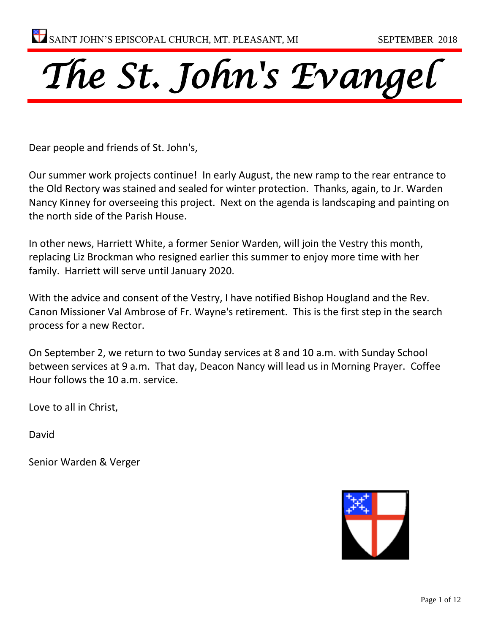

Dear people and friends of St. John's,

Our summer work projects continue! In early August, the new ramp to the rear entrance to the Old Rectory was stained and sealed for winter protection. Thanks, again, to Jr. Warden Nancy Kinney for overseeing this project. Next on the agenda is landscaping and painting on the north side of the Parish House.

In other news, Harriett White, a former Senior Warden, will join the Vestry this month, replacing Liz Brockman who resigned earlier this summer to enjoy more time with her family. Harriett will serve until January 2020.

With the advice and consent of the Vestry, I have notified Bishop Hougland and the Rev. Canon Missioner Val Ambrose of Fr. Wayne's retirement. This is the first step in the search process for a new Rector.

On September 2, we return to two Sunday services at 8 and 10 a.m. with Sunday School between services at 9 a.m. That day, Deacon Nancy will lead us in Morning Prayer. Coffee Hour follows the 10 a.m. service.

Love to all in Christ,

David

Senior Warden & Verger

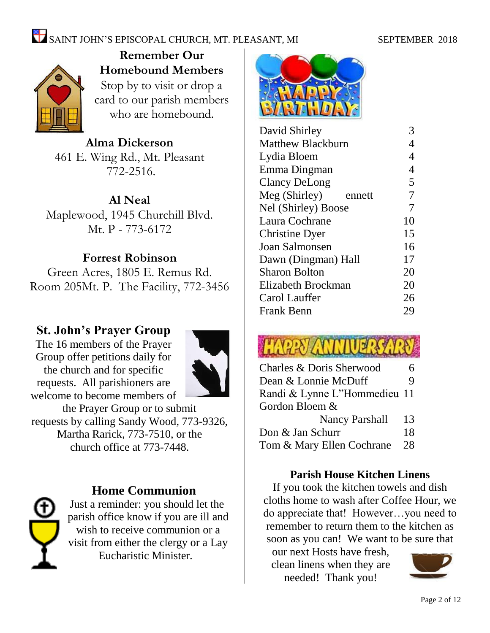## SAINT JOHN'S EPISCOPAL CHURCH, MT. PLEASANT, MI SEPTEMBER 2018



**Remember Our Homebound Members** Stop by to visit or drop a card to our parish members who are homebound.

**Alma Dickerson** 461 E. Wing Rd., Mt. Pleasant 772-2516.

**Al Neal** Maplewood, 1945 Churchill Blvd. Mt. P - 773-6172

### **Forrest Robinson**

Green Acres, 1805 E. Remus Rd. Room 205Mt. P. The Facility, 772-3456

### **St. John's Prayer Group**

The 16 members of the Prayer Group offer petitions daily for the church and for specific requests. All parishioners are welcome to become members of



the Prayer Group or to submit requests by calling Sandy Wood, 773-9326, Martha Rarick, 773-7510, or the church office at 773-7448.



### **Home Communion**

Just a reminder: you should let the parish office know if you are ill and wish to receive communion or a visit from either the clergy or a Lay Eucharistic Minister.



| David Shirley            |                |
|--------------------------|----------------|
| <b>Matthew Blackburn</b> | 4              |
| Lydia Bloem              | $\overline{4}$ |
| Emma Dingman             | $\overline{4}$ |
| <b>Clancy DeLong</b>     | 5              |
| Meg (Shirley)<br>ennett  | 7              |
| Nel (Shirley) Boose      | $\overline{7}$ |
| Laura Cochrane           | 10             |
| <b>Christine Dyer</b>    | 15             |
| Joan Salmonsen           | 16             |
| Dawn (Dingman) Hall      | 17             |
| <b>Sharon Bolton</b>     | 20             |
| Elizabeth Brockman       | 20             |
| Carol Lauffer            | 26             |
| <b>Frank Benn</b>        | 29             |
|                          |                |

# **HAPPY ANNI**

| Charles & Doris Sherwood     |    |  |
|------------------------------|----|--|
| Dean & Lonnie McDuff         | 9  |  |
| Randi & Lynne L"Hommedieu 11 |    |  |
| Gordon Bloem &               |    |  |
| <b>Nancy Parshall</b>        | 13 |  |
| Don & Jan Schurr             | 18 |  |
| Tom & Mary Ellen Cochrane    | 28 |  |
|                              |    |  |

### **Parish House Kitchen Linens**

If you took the kitchen towels and dish cloths home to wash after Coffee Hour, we do appreciate that! However…you need to remember to return them to the kitchen as soon as you can! We want to be sure that

our next Hosts have fresh, clean linens when they are needed! Thank you!

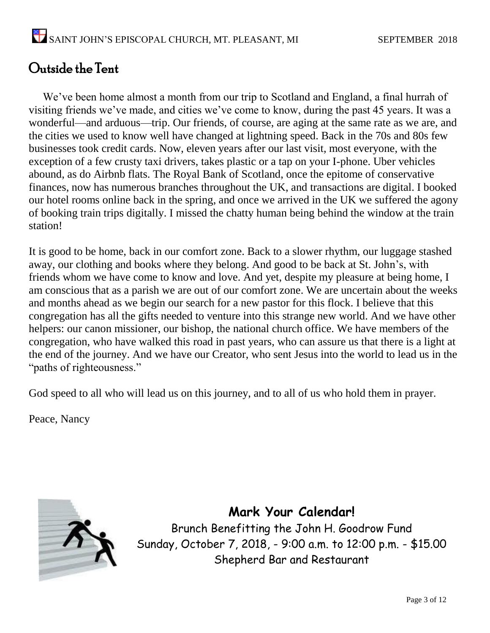### Outside the Tent

We've been home almost a month from our trip to Scotland and England, a final hurrah of visiting friends we've made, and cities we've come to know, during the past 45 years. It was a wonderful—and arduous—trip. Our friends, of course, are aging at the same rate as we are, and the cities we used to know well have changed at lightning speed. Back in the 70s and 80s few businesses took credit cards. Now, eleven years after our last visit, most everyone, with the exception of a few crusty taxi drivers, takes plastic or a tap on your I-phone. Uber vehicles abound, as do Airbnb flats. The Royal Bank of Scotland, once the epitome of conservative finances, now has numerous branches throughout the UK, and transactions are digital. I booked our hotel rooms online back in the spring, and once we arrived in the UK we suffered the agony of booking train trips digitally. I missed the chatty human being behind the window at the train station!

It is good to be home, back in our comfort zone. Back to a slower rhythm, our luggage stashed away, our clothing and books where they belong. And good to be back at St. John's, with friends whom we have come to know and love. And yet, despite my pleasure at being home, I am conscious that as a parish we are out of our comfort zone. We are uncertain about the weeks and months ahead as we begin our search for a new pastor for this flock. I believe that this congregation has all the gifts needed to venture into this strange new world. And we have other helpers: our canon missioner, our bishop, the national church office. We have members of the congregation, who have walked this road in past years, who can assure us that there is a light at the end of the journey. And we have our Creator, who sent Jesus into the world to lead us in the "paths of righteousness."

God speed to all who will lead us on this journey, and to all of us who hold them in prayer.

Peace, Nancy



**Mark Your Calendar!** Brunch Benefitting the John H. Goodrow Fund Sunday, October 7, 2018, - 9:00 a.m. to 12:00 p.m. - \$15.00 Shepherd Bar and Restaurant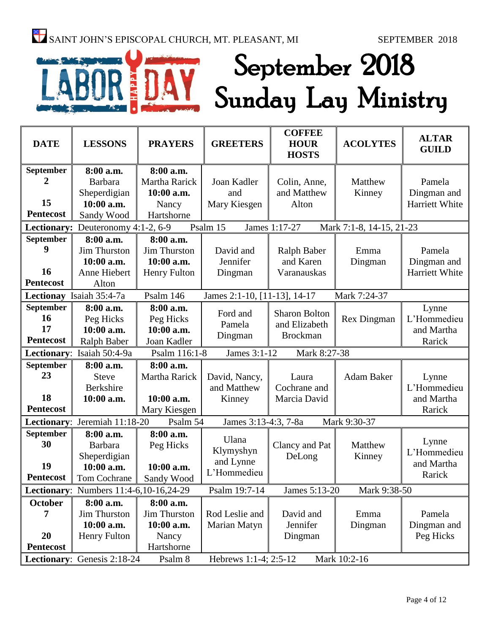# September 2018 Sunday Lay Ministry

| <b>DATE</b>      | <b>LESSONS</b>                         | <b>PRAYERS</b>       | <b>GREETERS</b>              | <b>COFFEE</b><br><b>HOUR</b><br><b>HOSTS</b> | <b>ACOLYTES</b>          | <b>ALTAR</b><br><b>GUILD</b> |
|------------------|----------------------------------------|----------------------|------------------------------|----------------------------------------------|--------------------------|------------------------------|
| September        | 8:00 a.m.                              | 8:00 a.m.            |                              |                                              |                          |                              |
| 2                | <b>Barbara</b>                         | <b>Martha Rarick</b> | Joan Kadler                  | Colin, Anne,                                 | Matthew                  | Pamela                       |
|                  | Sheperdigian                           | 10:00 a.m.           | and                          | and Matthew                                  | Kinney                   | Dingman and                  |
| 15               | 10:00 a.m.                             | Nancy                | Mary Kiesgen                 | Alton                                        |                          | Harriett White               |
| <b>Pentecost</b> | Sandy Wood                             | Hartshorne           |                              |                                              |                          |                              |
|                  | Lectionary: Deuteronomy 4:1-2, 6-9     |                      | Psalm 15                     | James 1:17-27                                | Mark 7:1-8, 14-15, 21-23 |                              |
| September        | 8:00 a.m.                              | 8:00 a.m.            |                              |                                              |                          |                              |
| 9                | <b>Jim Thurston</b>                    | <b>Jim Thurston</b>  | David and                    | Ralph Baber                                  | Emma                     | Pamela                       |
|                  | 10:00 a.m.                             | 10:00 a.m.           | Jennifer                     | and Karen                                    | Dingman                  | Dingman and                  |
| 16               | Anne Hiebert                           | <b>Henry Fulton</b>  | Dingman                      | Varanauskas                                  |                          | Harriett White               |
| <b>Pentecost</b> | Alton                                  |                      |                              |                                              |                          |                              |
|                  | Lectionay Isaiah 35:4-7a               | Psalm 146            | James 2:1-10, [11-13], 14-17 |                                              | Mark 7:24-37             |                              |
| September        | 8:00 a.m.                              | 8:00 a.m.            | Ford and                     | <b>Sharon Bolton</b>                         |                          | Lynne                        |
| 16               | Peg Hicks                              | Peg Hicks            |                              |                                              | <b>Rex Dingman</b>       | L'Hommedieu                  |
| 17               | 10:00 a.m.                             | 10:00 a.m.           | Pamela                       | and Elizabeth                                |                          | and Martha                   |
| <b>Pentecost</b> | <b>Ralph Baber</b>                     | Joan Kadler          | Dingman                      | <b>Brockman</b>                              |                          | Rarick                       |
|                  | Lectionary: Isaiah 50:4-9a             | Psalm 116:1-8        | James 3:1-12                 | Mark 8:27-38                                 |                          |                              |
| September        | 8:00 a.m.                              | 8:00 a.m.            |                              |                                              |                          |                              |
| 23               | <b>Steve</b>                           | Martha Rarick        | David, Nancy,                | Laura                                        | Adam Baker               | Lynne                        |
|                  | <b>Berkshire</b>                       |                      | and Matthew                  | Cochrane and                                 |                          | L'Hommedieu                  |
| 18               | 10:00 a.m.                             | 10:00 a.m.           | Kinney                       | Marcia David                                 |                          | and Martha                   |
| <b>Pentecost</b> |                                        | Mary Kiesgen         |                              |                                              |                          | Rarick                       |
| Lectionary:      | Jeremiah 11:18-20                      | Psalm 54             | James 3:13-4:3, 7-8a         |                                              | Mark 9:30-37             |                              |
| September        | 8:00 a.m.                              | 8:00 a.m.            | Ulana                        |                                              |                          |                              |
| 30               | Barbara                                | Peg Hicks            |                              | Clancy and Pat                               | Matthew                  | Lynne                        |
|                  | Sheperdigian                           |                      | Klymyshyn                    | DeLong                                       | Kinney                   | L'Hommedieu                  |
| 19               | 10:00 a.m.                             | 10:00 a.m.           | and Lynne<br>L'Hommedieu     |                                              |                          | and Martha                   |
| <b>Pentecost</b> | Tom Cochrane                           | Sandy Wood           |                              |                                              |                          | Rarick                       |
|                  | Lectionary: Numbers 11:4-6,10-16,24-29 |                      | Psalm 19:7-14                | James 5:13-20                                | Mark 9:38-50             |                              |
| October          | 8:00 a.m.                              | 8:00 a.m.            |                              |                                              |                          |                              |
| 7                | Jim Thurston                           | Jim Thurston         | Rod Leslie and               | David and                                    | Emma                     | Pamela                       |
|                  | 10:00 a.m.                             | 10:00 a.m.           | Marian Matyn                 | Jennifer                                     | Dingman                  | Dingman and                  |
| 20               | Henry Fulton                           | Nancy                |                              | Dingman                                      |                          | Peg Hicks                    |
| <b>Pentecost</b> |                                        | Hartshorne           |                              |                                              |                          |                              |
|                  | Lectionary: Genesis 2:18-24            | Psalm 8              | Hebrews 1:1-4; 2:5-12        |                                              | Mark 10:2-16             |                              |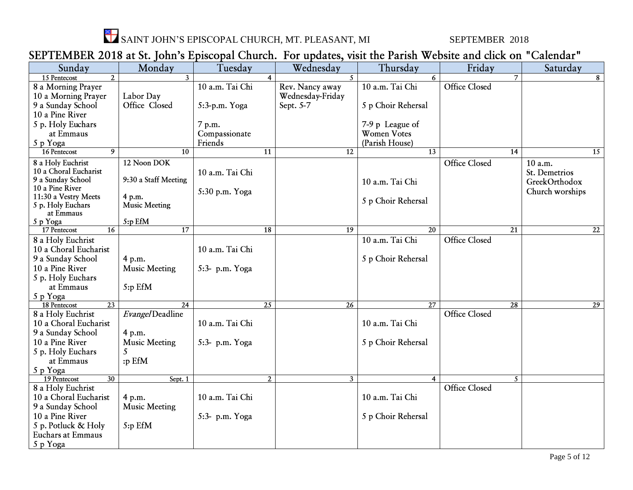

SAINT JOHN'S EPISCOPAL CHURCH, MT. PLEASANT, MI SEPTEMBER 2018

### SEPTEMBER 2018 at St. John's Episcopal Church. For updates, visit the Parish Website and click on "Calendar"

| 21 TERREDER 2010 at 00 JOHN 0 EPROOPAL ORANGII TOT apaatoog vidit the Farroll Webblet and |                      |                 |                |                  |                    |                      |                 |
|-------------------------------------------------------------------------------------------|----------------------|-----------------|----------------|------------------|--------------------|----------------------|-----------------|
| Sunday                                                                                    | Monday               | Tuesday         |                | Wednesday        | Thursday           | Friday               | Saturday        |
| $\overline{2}$<br>15 Pentecost                                                            | $\mathbf{3}$         |                 |                | $\mathcal{F}$    | 6                  | 7                    | 8               |
| 8 a Morning Prayer                                                                        |                      | 10 a.m. Tai Chi |                | Rev. Nancy away  | 10 a.m. Tai Chi    | Office Closed        |                 |
| 10 a Morning Prayer                                                                       | Labor Day            |                 |                | Wednesday-Friday |                    |                      |                 |
| 9 a Sunday School                                                                         | Office Closed        | 5:3-p.m. Yoga   |                | Sept. 5-7        | 5 p Choir Rehersal |                      |                 |
| 10 a Pine River                                                                           |                      |                 |                |                  |                    |                      |                 |
| 5 p. Holy Euchars                                                                         |                      | 7 p.m.          |                |                  | 7-9 p League of    |                      |                 |
| at Emmaus                                                                                 |                      | Compassionate   |                |                  | <b>Women Votes</b> |                      |                 |
| 5 p Yoga                                                                                  |                      | Friends         |                |                  | (Parish House)     |                      |                 |
| 9<br>16 Pentecost                                                                         | 10                   |                 | 11             | 12               | 13                 | 14                   | 15              |
| 8 a Holy Euchrist                                                                         | 12 Noon DOK          |                 |                |                  |                    | Office Closed        | 10 a.m.         |
| 10 a Choral Eucharist                                                                     |                      | 10 a.m. Tai Chi |                |                  |                    |                      | St. Demetrios   |
| 9 a Sunday School                                                                         | 9:30 a Staff Meeting |                 |                |                  | 10 a.m. Tai Chi    |                      | GreekOrthodox   |
| 10 a Pine River                                                                           |                      |                 |                |                  |                    |                      | Church worships |
| 11:30 a Vestry Meets                                                                      | 4 p.m.               | 5:30 p.m. Yoga  |                |                  |                    |                      |                 |
| 5 p. Holy Euchars                                                                         | <b>Music Meeting</b> |                 |                |                  | 5 p Choir Rehersal |                      |                 |
| at Emmaus                                                                                 |                      |                 |                |                  |                    |                      |                 |
| 5 p Yoga                                                                                  | 5:p EfM              |                 |                |                  |                    |                      |                 |
| 16<br>17 Pentecost                                                                        | 17                   |                 | 18             | 19               | 20                 | 21                   | 22              |
| 8 a Holy Euchrist                                                                         |                      |                 |                |                  | 10 a.m. Tai Chi    | <b>Office Closed</b> |                 |
| 10 a Choral Eucharist                                                                     |                      | 10 a.m. Tai Chi |                |                  |                    |                      |                 |
| 9 a Sunday School                                                                         | 4 p.m.               |                 |                |                  | 5 p Choir Rehersal |                      |                 |
| 10 a Pine River                                                                           | <b>Music Meeting</b> | 5:3- p.m. Yoga  |                |                  |                    |                      |                 |
| 5 p. Holy Euchars                                                                         |                      |                 |                |                  |                    |                      |                 |
| at Emmaus                                                                                 | 5:p EfM              |                 |                |                  |                    |                      |                 |
| 5 p Yoga                                                                                  |                      |                 |                |                  |                    |                      |                 |
| 18 Pentecost<br>23                                                                        | 24                   |                 | 25             | 26               | 27                 | 28                   | $\overline{29}$ |
| 8 a Holy Euchrist                                                                         | Evangel Deadline     |                 |                |                  |                    | <b>Office Closed</b> |                 |
| 10 a Choral Eucharist                                                                     |                      | 10 a.m. Tai Chi |                |                  | 10 a.m. Tai Chi    |                      |                 |
| 9 a Sunday School                                                                         | 4 p.m.               |                 |                |                  |                    |                      |                 |
| 10 a Pine River                                                                           | <b>Music Meeting</b> | 5:3- p.m. Yoga  |                |                  | 5 p Choir Rehersal |                      |                 |
| 5 p. Holy Euchars                                                                         |                      |                 |                |                  |                    |                      |                 |
| at Emmaus                                                                                 | :p EfM               |                 |                |                  |                    |                      |                 |
| 5 p Yoga                                                                                  |                      |                 |                |                  |                    |                      |                 |
| 19 Pentecost<br>30                                                                        | Sept. 1              |                 | $\overline{2}$ | 3 <sup>7</sup>   | $\overline{4}$     | 5                    |                 |
| 8 a Holy Euchrist                                                                         |                      |                 |                |                  |                    | <b>Office Closed</b> |                 |
| 10 a Choral Eucharist                                                                     | 4 p.m.               | 10 a.m. Tai Chi |                |                  | 10 a.m. Tai Chi    |                      |                 |
| 9 a Sunday School                                                                         | <b>Music Meeting</b> |                 |                |                  |                    |                      |                 |
| 10 a Pine River                                                                           |                      | 5:3- p.m. Yoga  |                |                  | 5 p Choir Rehersal |                      |                 |
| 5 p. Potluck & Holy                                                                       | 5:p EfM              |                 |                |                  |                    |                      |                 |
| <b>Euchars at Emmaus</b>                                                                  |                      |                 |                |                  |                    |                      |                 |
| 5 p Yoga                                                                                  |                      |                 |                |                  |                    |                      |                 |
|                                                                                           |                      |                 |                |                  |                    |                      |                 |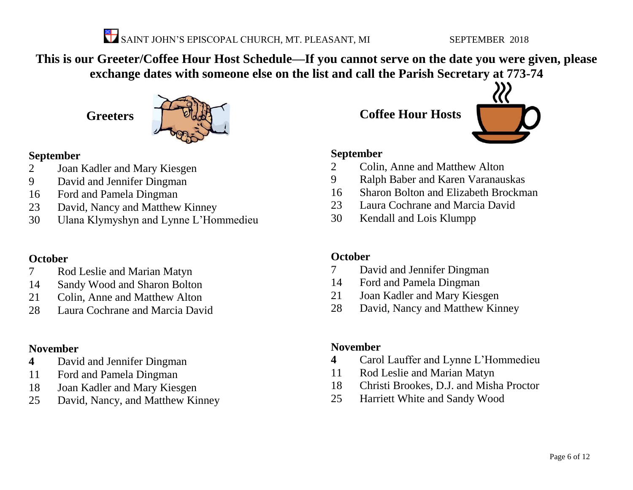

**This is our Greeter/Coffee Hour Host Schedule—If you cannot serve on the date you were given, please exchange dates with someone else on the list and call the Parish Secretary at 773-74**

**Greeters**



### **September**

- Joan Kadler and Mary Kiesgen
- David and Jennifer Dingman
- Ford and Pamela Dingman
- David, Nancy and Matthew Kinney
- Ulana Klymyshyn and Lynne L'Hommedieu

### **October**

- Rod Leslie and Marian Matyn
- Sandy Wood and Sharon Bolton
- Colin, Anne and Matthew Alton
- Laura Cochrane and Marcia David

### **November**

- David and Jennifer Dingman
- Ford and Pamela Dingman
- Joan Kadler and Mary Kiesgen
- David, Nancy, and Matthew Kinney

**Coffee Hour Hosts**



### **September**

- Colin, Anne and Matthew Alton
- Ralph Baber and Karen Varanauskas
- Sharon Bolton and Elizabeth Brockman
- Laura Cochrane and Marcia David
- Kendall and Lois Klumpp

### **October**

- David and Jennifer Dingman
- Ford and Pamela Dingman
- Joan Kadler and Mary Kiesgen
- David, Nancy and Matthew Kinney

### **November**

- Carol Lauffer and Lynne L'Hommedieu
- Rod Leslie and Marian Matyn
- Christi Brookes, D.J. and Misha Proctor
- Harriett White and Sandy Wood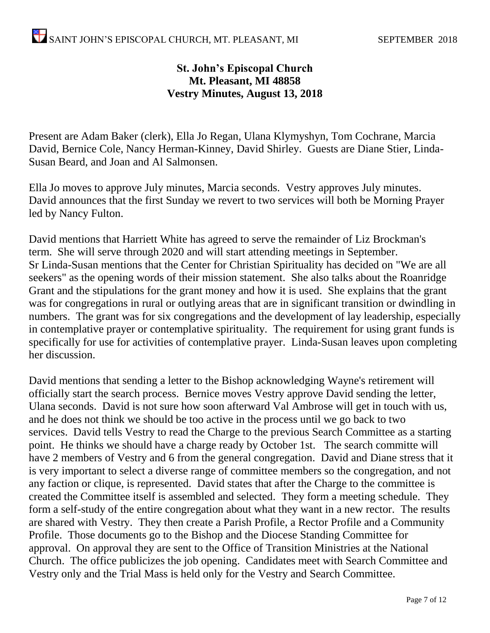### **St. John's Episcopal Church Mt. Pleasant, MI 48858 Vestry Minutes, August 13, 2018**

Present are Adam Baker (clerk), Ella Jo Regan, Ulana Klymyshyn, Tom Cochrane, Marcia David, Bernice Cole, Nancy Herman-Kinney, David Shirley. Guests are Diane Stier, Linda-Susan Beard, and Joan and Al Salmonsen.

Ella Jo moves to approve July minutes, Marcia seconds. Vestry approves July minutes. David announces that the first Sunday we revert to two services will both be Morning Prayer led by Nancy Fulton.

David mentions that Harriett White has agreed to serve the remainder of Liz Brockman's term. She will serve through 2020 and will start attending meetings in September. Sr Linda-Susan mentions that the Center for Christian Spirituality has decided on "We are all seekers" as the opening words of their mission statement. She also talks about the Roanridge Grant and the stipulations for the grant money and how it is used. She explains that the grant was for congregations in rural or outlying areas that are in significant transition or dwindling in numbers. The grant was for six congregations and the development of lay leadership, especially in contemplative prayer or contemplative spirituality. The requirement for using grant funds is specifically for use for activities of contemplative prayer. Linda-Susan leaves upon completing her discussion.

David mentions that sending a letter to the Bishop acknowledging Wayne's retirement will officially start the search process. Bernice moves Vestry approve David sending the letter, Ulana seconds. David is not sure how soon afterward Val Ambrose will get in touch with us, and he does not think we should be too active in the process until we go back to two services. David tells Vestry to read the Charge to the previous Search Committee as a starting point. He thinks we should have a charge ready by October 1st. The search committe will have 2 members of Vestry and 6 from the general congregation. David and Diane stress that it is very important to select a diverse range of committee members so the congregation, and not any faction or clique, is represented. David states that after the Charge to the committee is created the Committee itself is assembled and selected. They form a meeting schedule. They form a self-study of the entire congregation about what they want in a new rector. The results are shared with Vestry. They then create a Parish Profile, a Rector Profile and a Community Profile. Those documents go to the Bishop and the Diocese Standing Committee for approval. On approval they are sent to the Office of Transition Ministries at the National Church. The office publicizes the job opening. Candidates meet with Search Committee and Vestry only and the Trial Mass is held only for the Vestry and Search Committee.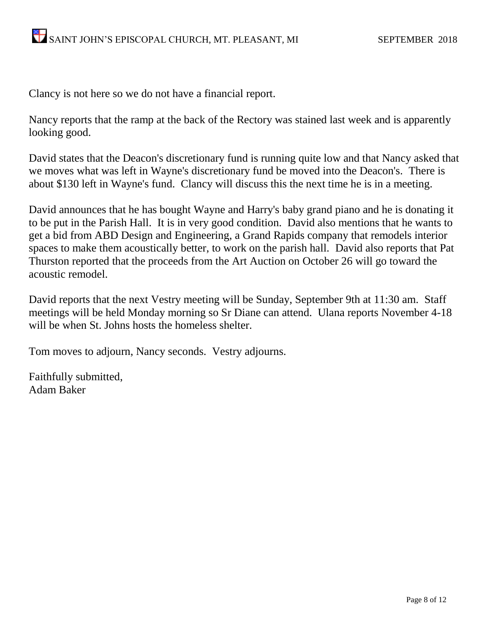Clancy is not here so we do not have a financial report.

Nancy reports that the ramp at the back of the Rectory was stained last week and is apparently looking good.

David states that the Deacon's discretionary fund is running quite low and that Nancy asked that we moves what was left in Wayne's discretionary fund be moved into the Deacon's. There is about \$130 left in Wayne's fund. Clancy will discuss this the next time he is in a meeting.

David announces that he has bought Wayne and Harry's baby grand piano and he is donating it to be put in the Parish Hall. It is in very good condition. David also mentions that he wants to get a bid from ABD Design and Engineering, a Grand Rapids company that remodels interior spaces to make them acoustically better, to work on the parish hall. David also reports that Pat Thurston reported that the proceeds from the Art Auction on October 26 will go toward the acoustic remodel.

David reports that the next Vestry meeting will be Sunday, September 9th at 11:30 am. Staff meetings will be held Monday morning so Sr Diane can attend. Ulana reports November 4-18 will be when St. Johns hosts the homeless shelter.

Tom moves to adjourn, Nancy seconds. Vestry adjourns.

Faithfully submitted, Adam Baker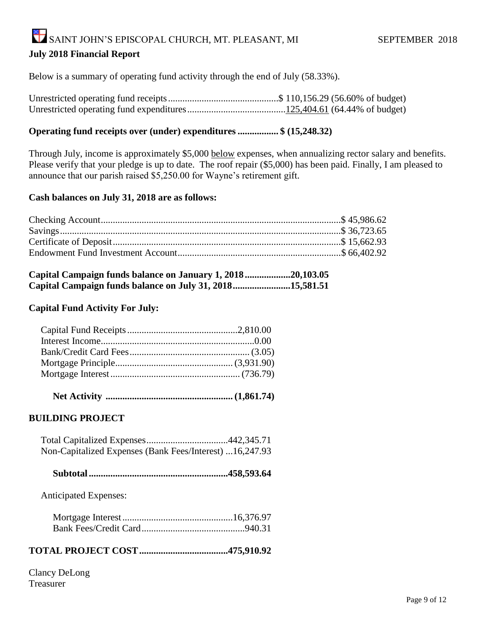# SAINT JOHN'S EPISCOPAL CHURCH, MT. PLEASANT, MI SEPTEMBER 2018

### **July 2018 Financial Report**

Below is a summary of operating fund activity through the end of July (58.33%).

Unrestricted operating fund receipts..............................................\$ 110,156.29 (56.60% of budget) Unrestricted operating fund expenditures.........................................125,404.61 (64.44% of budget)

### **Operating fund receipts over (under) expenditures ................. \$ (15,248.32)**

Through July, income is approximately \$5,000 below expenses, when annualizing rector salary and benefits. Please verify that your pledge is up to date. The roof repair (\$5,000) has been paid. Finally, I am pleased to announce that our parish raised \$5,250.00 for Wayne's retirement gift.

### **Cash balances on July 31, 2018 are as follows:**

| Capital Campaign funds balance on January 1, 201820,103.05 |  |
|------------------------------------------------------------|--|
| Capital Campaign funds balance on July 31, 201815,581.51   |  |

### **Capital Fund Activity For July:**

|--|--|--|--|--|

### **BUILDING PROJECT**

| Non-Capitalized Expenses (Bank Fees/Interest) 16,247.93 |  |
|---------------------------------------------------------|--|

|--|--|

Anticipated Expenses:

### **TOTAL PROJECT COST.....................................475,910.92**

Clancy DeLong Treasurer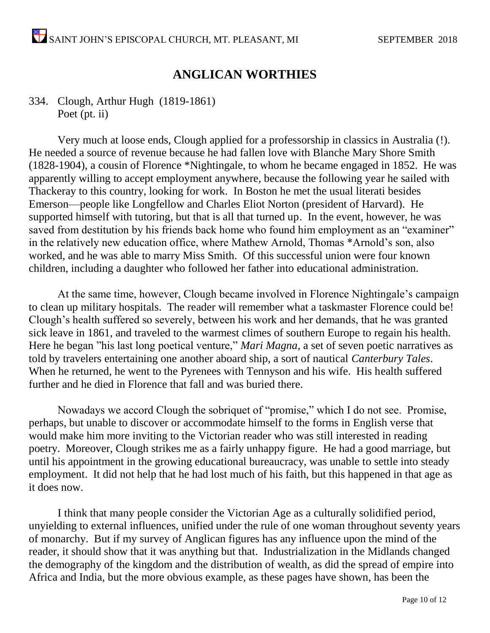### **ANGLICAN WORTHIES**

### 334. Clough, Arthur Hugh (1819-1861) Poet (pt. ii)

Very much at loose ends, Clough applied for a professorship in classics in Australia (!). He needed a source of revenue because he had fallen love with Blanche Mary Shore Smith (1828-1904), a cousin of Florence \*Nightingale, to whom he became engaged in 1852. He was apparently willing to accept employment anywhere, because the following year he sailed with Thackeray to this country, looking for work. In Boston he met the usual literati besides Emerson—people like Longfellow and Charles Eliot Norton (president of Harvard). He supported himself with tutoring, but that is all that turned up. In the event, however, he was saved from destitution by his friends back home who found him employment as an "examiner" in the relatively new education office, where Mathew Arnold, Thomas \*Arnold's son, also worked, and he was able to marry Miss Smith. Of this successful union were four known children, including a daughter who followed her father into educational administration.

At the same time, however, Clough became involved in Florence Nightingale's campaign to clean up military hospitals. The reader will remember what a taskmaster Florence could be! Clough's health suffered so severely, between his work and her demands, that he was granted sick leave in 1861, and traveled to the warmest climes of southern Europe to regain his health. Here he began "his last long poetical venture," *Mari Magna*, a set of seven poetic narratives as told by travelers entertaining one another aboard ship, a sort of nautical *Canterbury Tales*. When he returned, he went to the Pyrenees with Tennyson and his wife. His health suffered further and he died in Florence that fall and was buried there.

Nowadays we accord Clough the sobriquet of "promise," which I do not see. Promise, perhaps, but unable to discover or accommodate himself to the forms in English verse that would make him more inviting to the Victorian reader who was still interested in reading poetry. Moreover, Clough strikes me as a fairly unhappy figure. He had a good marriage, but until his appointment in the growing educational bureaucracy, was unable to settle into steady employment. It did not help that he had lost much of his faith, but this happened in that age as it does now.

I think that many people consider the Victorian Age as a culturally solidified period, unyielding to external influences, unified under the rule of one woman throughout seventy years of monarchy. But if my survey of Anglican figures has any influence upon the mind of the reader, it should show that it was anything but that. Industrialization in the Midlands changed the demography of the kingdom and the distribution of wealth, as did the spread of empire into Africa and India, but the more obvious example, as these pages have shown, has been the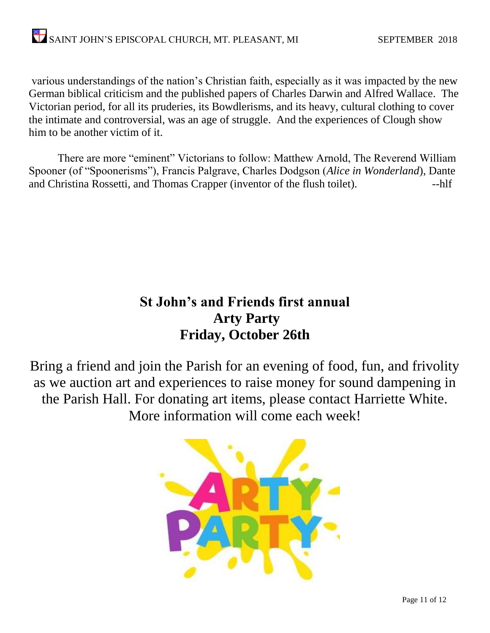various understandings of the nation's Christian faith, especially as it was impacted by the new German biblical criticism and the published papers of Charles Darwin and Alfred Wallace. The Victorian period, for all its pruderies, its Bowdlerisms, and its heavy, cultural clothing to cover the intimate and controversial, was an age of struggle. And the experiences of Clough show him to be another victim of it.

There are more "eminent" Victorians to follow: Matthew Arnold, The Reverend William Spooner (of "Spoonerisms"), Francis Palgrave, Charles Dodgson (*Alice in Wonderland*), Dante and Christina Rossetti, and Thomas Crapper (inventor of the flush toilet). --hlf

### **St John's and Friends first annual Arty Party Friday, October 26th**

Bring a friend and join the Parish for an evening of food, fun, and frivolity as we auction art and experiences to raise money for sound dampening in the Parish Hall. For donating art items, please contact Harriette White. More information will come each week!